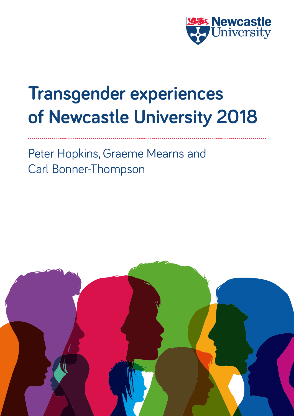

# **Transgender experiences of Newcastle University 2018**

Peter Hopkins, Graeme Mearns and Carl Bonner-Thompson

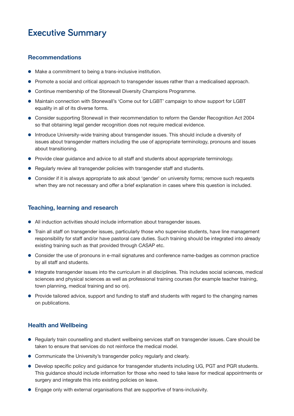# **Executive Summary**

# **Recommendations**

- $\bullet$  Make a commitment to being a trans-inclusive institution.
- Promote a social and critical approach to transgender issues rather than a medicalised approach.
- **Continue membership of the Stonewall Diversity Champions Programme.**
- Maintain connection with Stonewall's 'Come out for LGBT' campaign to show support for LGBT equality in all of its diverse forms.
- Consider supporting Stonewall in their recommendation to reform the Gender Recognition Act 2004 so that obtaining legal gender recognition does not require medical evidence.
- $\bullet$  Introduce University-wide training about transgender issues. This should include a diversity of issues about transgender matters including the use of appropriate terminology, pronouns and issues about transitioning.
- Provide clear guidance and advice to all staff and students about appropriate terminology.
- Regularly review all transgender policies with transgender staff and students.
- Consider if it is always appropriate to ask about 'gender' on university forms; remove such requests when they are not necessary and offer a brief explanation in cases where this question is included.

### **Teaching, learning and research**

- All induction activities should include information about transgender issues.
- Train all staff on transgender issues, particularly those who supervise students, have line management responsibility for staff and/or have pastoral care duties. Such training should be integrated into already existing training such as that provided through CASAP etc.
- Consider the use of pronouns in e-mail signatures and conference name-badges as common practice by all staff and students.
- $\bullet$  Integrate transgender issues into the curriculum in all disciplines. This includes social sciences, medical sciences and physical sciences as well as professional training courses (for example teacher training, town planning, medical training and so on).
- Provide tailored advice, support and funding to staff and students with regard to the changing names on publications.

# **Health and Wellbeing**

- Regularly train counselling and student wellbeing services staff on transgender issues. Care should be taken to ensure that services do not reinforce the medical model.
- Communicate the University's transgender policy regularly and clearly.
- Develop specific policy and quidance for transgender students including UG, PGT and PGR students. This guidance should include information for those who need to take leave for medical appointments or surgery and integrate this into existing policies on leave.
- l Engage only with external organisations that are supportive of trans-inclusivity.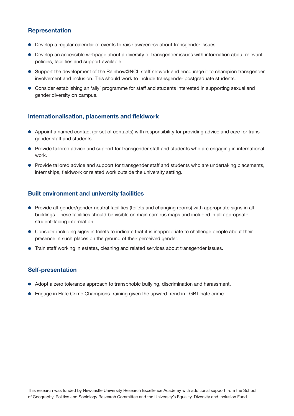# **Representation**

- Develop a regular calendar of events to raise awareness about transgender issues.
- Develop an accessible webpage about a diversity of transgender issues with information about relevant policies, facilities and support available.
- Support the development of the Rainbow@NCL staff network and encourage it to champion transgender involvement and inclusion. This should work to include transgender postgraduate students.
- Consider establishing an 'ally' programme for staff and students interested in supporting sexual and gender diversity on campus.

# **Internationalisation, placements and fieldwork**

- Appoint a named contact (or set of contacts) with responsibility for providing advice and care for trans gender staff and students.
- Provide tailored advice and support for transgender staff and students who are engaging in international work.
- Provide tailored advice and support for transgender staff and students who are undertaking placements, internships, fieldwork or related work outside the university setting.

# **Built environment and university facilities**

- Provide all-gender/gender-neutral facilities (toilets and changing rooms) with appropriate signs in all buildings. These facilities should be visible on main campus maps and included in all appropriate student-facing information.
- Consider including signs in toilets to indicate that it is inappropriate to challenge people about their presence in such places on the ground of their perceived gender.
- $\bullet$  Train staff working in estates, cleaning and related services about transgender issues.

# **Self-presentation**

- Adopt a zero tolerance approach to transphobic bullying, discrimination and harassment.
- **•** Engage in Hate Crime Champions training given the upward trend in LGBT hate crime.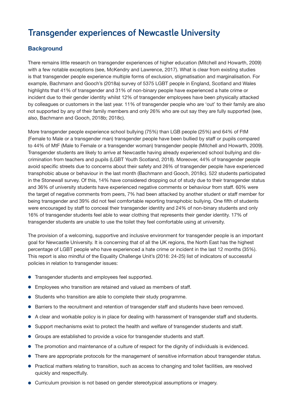# **Transgender experiences of Newcastle University**

# **Background**

There remains little research on transgender experiences of higher education (Mitchell and Howarth, 2009) with a few notable exceptions (see, McKendry and Lawrence, 2017). What is clear from existing studies is that transgender people experience multiple forms of exclusion, stigmatisation and marginalisation. For example, Bachmann and Gooch's (2018a) survey of 5375 LGBT people in England, Scotland and Wales highlights that 41% of transgender and 31% of non-binary people have experienced a hate crime or incident due to their gender identity whilst 12% of transgender employees have been physically attacked by colleagues or customers in the last year. 11% of transgender people who are 'out' to their family are also not supported by any of their family members and only 26% who are out say they are fully supported (see, also, Bachmann and Gooch, 2018b; 2018c).

More transgender people experience school bullying (75%) than LGB people (25%) and 64% of FtM (Female to Male or a transgender man) transgender people have been bullied by staff or pupils compared to 44% of MtF (Male to Female or a transgender woman) transgender people (Mitchell and Howarth, 2009). Transgender students are likely to arrive at Newcastle having already experienced school bullying and discrimination from teachers and pupils (LGBT Youth Scotland, 2018). Moreover, 44% of transgender people avoid specific streets due to concerns about their safety and 26% of transgender people have experienced transphobic abuse or behaviour in the last month (Bachmann and Gooch, 2018c). 522 students participated in the Stonewall survey. Of this, 14% have considered dropping out of study due to their transgender status and 36% of university students have experienced negative comments or behaviour from staff. 60% were the target of negative comments from peers, 7% had been attacked by another student or staff member for being transgender and 39% did not feel comfortable reporting transphobic bullying. One fifth of students were encouraged by staff to conceal their transgender identity and 24% of non-binary students and only 16% of transgender students feel able to wear clothing that represents their gender identity. 17% of transgender students are unable to use the toilet they feel comfortable using at university.

The provision of a welcoming, supportive and inclusive environment for transgender people is an important goal for Newcastle University. It is concerning that of all the UK regions, the North East has the highest percentage of LGBT people who have experienced a hate crime or incident in the last 12 months (35%). This report is also mindful of the Equality Challenge Unit's (2016: 24-25) list of indicators of successful policies in relation to transgender issues:

- **•** Transgender students and employees feel supported.
- **•** Employees who transition are retained and valued as members of staff.
- Students who transition are able to complete their study programme.
- **Barriers to the recruitment and retention of transgender staff and students have been removed.**
- A clear and workable policy is in place for dealing with harassment of transgender staff and students.
- l Support mechanisms exist to protect the health and welfare of transgender students and staff.
- **•** Groups are established to provide a voice for transgender students and staff.
- The promotion and maintenance of a culture of respect for the dignity of individuals is evidenced.
- There are appropriate protocols for the management of sensitive information about transgender status.
- Practical matters relating to transition, such as access to changing and toilet facilities, are resolved quickly and respectfully.
- l Curriculum provision is not based on gender stereotypical assumptions or imagery.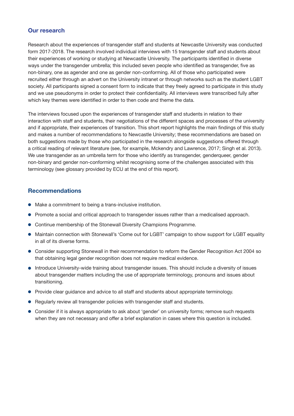### **Our research**

Research about the experiences of transgender staff and students at Newcastle University was conducted form 2017-2018. The research involved individual interviews with 15 transgender staff and students about their experiences of working or studying at Newcastle University. The participants identified in diverse ways under the transgender umbrella; this included seven people who identified as transgender, five as non-binary, one as agender and one as gender non-conforming. All of those who participated were recruited either through an advert on the University intranet or through networks such as the student LGBT society. All participants signed a consent form to indicate that they freely agreed to participate in this study and we use pseudonyms in order to protect their confidentiality. All interviews were transcribed fully after which key themes were identified in order to then code and theme the data.

The interviews focused upon the experiences of transgender staff and students in relation to their interaction with staff and students, their negotiations of the different spaces and processes of the university and if appropriate, their experiences of transition. This short report highlights the main findings of this study and makes a number of recommendations to Newcastle University; these recommendations are based on both suggestions made by those who participated in the research alongside suggestions offered through a critical reading of relevant literature (see, for example, Mckendry and Lawrence, 2017; Singh et al. 2013). We use transgender as an umbrella term for those who identify as transgender, genderqueer, gender non-binary and gender non-conforming whilst recognising some of the challenges associated with this terminology (see glossary provided by ECU at the end of this report).

- $\bullet$  Make a commitment to being a trans-inclusive institution.
- Promote a social and critical approach to transgender issues rather than a medicalised approach.
- **•** Continue membership of the Stonewall Diversity Champions Programme.
- Maintain connection with Stonewall's 'Come out for LGBT' campaign to show support for LGBT equality in all of its diverse forms.
- Consider supporting Stonewall in their recommendation to reform the Gender Recognition Act 2004 so that obtaining legal gender recognition does not require medical evidence.
- **.** Introduce University-wide training about transgender issues. This should include a diversity of issues about transgender matters including the use of appropriate terminology, pronouns and issues about transitioning.
- Provide clear guidance and advice to all staff and students about appropriate terminology.
- **•** Regularly review all transgender policies with transgender staff and students.
- Consider if it is always appropriate to ask about 'gender' on university forms; remove such requests when they are not necessary and offer a brief explanation in cases where this question is included.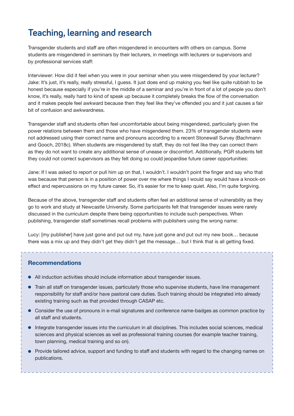# **Teaching, learning and research**

Transgender students and staff are often misgendered in encounters with others on campus. Some students are misgendered in seminars by their lecturers, in meetings with lecturers or supervisors and by professional services staff:

Interviewer: How did it feel when you were in your seminar when you were misgendered by your lecturer? Jake: It's just, it's really, really stressful, I guess. It just does end up making you feel like quite rubbish to be honest because especially if you're in the middle of a seminar and you're in front of a lot of people you don't know, it's really, really hard to kind of speak up because it completely breaks the flow of the conversation and it makes people feel awkward because then they feel like they've offended you and it just causes a fair bit of confusion and awkwardness.

Transgender staff and students often feel uncomfortable about being misgendered, particularly given the power relations between them and those who have misgendered them. 23% of transgender students were not addressed using their correct name and pronouns according to a recent Stonewall Survey (Bachmann and Gooch, 2018c). When students are misgendered by staff, they do not feel like they can correct them as they do not want to create any additional sense of unease or discomfort. Additionally, PGR students felt they could not correct supervisors as they felt doing so could jeopardise future career opportunities:

Jane: If I was asked to report or pull him up on that, I wouldn't. I wouldn't point the finger and say who that was because that person is in a position of power over me where things I would say would have a knock-on effect and repercussions on my future career. So, it's easier for me to keep quiet. Also, I'm quite forgiving.

Because of the above, transgender staff and students often feel an additional sense of vulnerability as they go to work and study at Newcastle University. Some participants felt that transgender issues were rarely discussed in the curriculum despite there being opportunities to include such perspectives. When publishing, transgender staff sometimes recall problems with publishers using the wrong name:

Lucy: [my publisher] have just gone and put out my, have just gone and put out my new book… because there was a mix up and they didn't get they didn't get the message… but I think that is all getting fixed.

- All induction activities should include information about transgender issues.
- Train all staff on transgender issues, particularly those who supervise students, have line management responsibility for staff and/or have pastoral care duties. Such training should be integrated into already existing training such as that provided through CASAP etc.
- Consider the use of pronouns in e-mail signatures and conference name-badges as common practice by all staff and students.
- $\bullet$  Integrate transgender issues into the curriculum in all disciplines. This includes social sciences, medical sciences and physical sciences as well as professional training courses (for example teacher training, town planning, medical training and so on).
- Provide tailored advice, support and funding to staff and students with regard to the changing names on publications.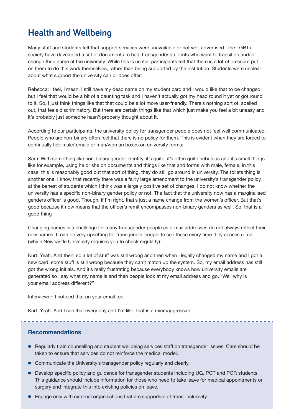# **Health and Wellbeing**

Many staff and students felt that support services were unavailable or not well advertised. The LGBT+ society have developed a set of documents to help transgender students who want to transition and/or change their name at the university. While this is useful, participants felt that there is a lot of pressure put on them to do this work themselves, rather than being supported by the institution. Students were unclear about what support the university can or does offer:

Rebecca: I feel, I mean, I still have my dead name on my student card and I would like that to be changed but I feel that would be a bit of a daunting task and I haven't actually got my head round it yet or got round to it. So, I just think things like that that could be a lot more user-friendly. There's nothing sort of, spelled out, that feels discriminatory. But there are certain things like that which just make you feel a bit uneasy and it's probably just someone hasn't properly thought about it.

According to our participants. the university policy for transgender people does not feel well communicated. People who are non-binary often feel that there is no policy for them. This is evident when they are forced to continually tick male/female or man/woman boxes on university forms:

Sam: With something like non-binary gender identity, it's quite, it's often quite nebulous and it's small things like for example, using he or she on documents and things like that and forms with male, female, in this case, this is reasonably good but that sort of thing, they do still go around in university. The toilets thing is another one. I know that recently there was a fairly large amendment to the university's transgender policy at the behest of students which I think was a largely positive set of changes. I do not know whether the university has a specific non-binary gender policy or not. The fact that the university now has a marginalised genders officer is good. Though, if I'm right, that's just a name change from the women's officer. But that's good because it now means that the officer's remit encompasses non-binary genders as well. So, that is a good thing

Changing names is a challenge for many transgender people as e-mail addresses do not always reflect their new names. It can be very upsetting for transgender people to see these every time they access e-mail (which Newcastle University requires you to check regularly):

Kurt: Yeah. And then, so a lot of stuff was still wrong and then when I legally changed my name and I got a new card, some stuff is still wrong because they can't match up the system. So, my email address has still got the wrong initials. And it's really frustrating because everybody knows how university emails are generated so I say what my name is and then people look at my email address and go, "Well why is your email address different?"

Interviewer: I noticed that on your email too.

Kurt: Yeah. And I see that every day and I'm like, that is a microaggression

- Regularly train counselling and student wellbeing services staff on transgender issues. Care should be taken to ensure that services do not reinforce the medical model.
- Communicate the University's transgender policy regularly and clearly.
- Develop specific policy and guidance for transgender students including UG, PGT and PGR students. This guidance should include information for those who need to take leave for medical appointments or surgery and integrate this into existing policies on leave.
- l Engage only with external organisations that are supportive of trans-inclusivity.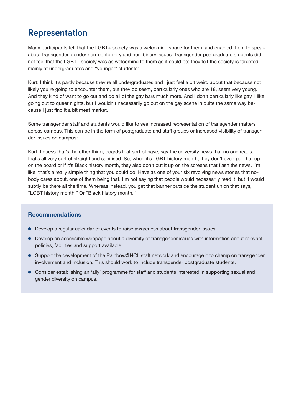# **Representation**

Many participants felt that the LGBT+ society was a welcoming space for them, and enabled them to speak about transgender, gender non-conformity and non-binary issues. Transgender postgraduate students did not feel that the LGBT+ society was as welcoming to them as it could be; they felt the society is targeted mainly at undergraduates and "younger" students:

Kurt: I think it's partly because they're all undergraduates and I just feel a bit weird about that because not likely you're going to encounter them, but they do seem, particularly ones who are 18, seem very young. And they kind of want to go out and do all of the gay bars much more. And I don't particularly like gay, I like going out to queer nights, but I wouldn't necessarily go out on the gay scene in quite the same way because I just find it a bit meat market.

Some transgender staff and students would like to see increased representation of transgender matters across campus. This can be in the form of postgraduate and staff groups or increased visibility of transgender issues on campus:

Kurt: I guess that's the other thing, boards that sort of have, say the university news that no one reads, that's all very sort of straight and sanitised. So, when it's LGBT history month, they don't even put that up on the board or if it's Black history month, they also don't put it up on the screens that flash the news. I'm like, that's a really simple thing that you could do. Have as one of your six revolving news stories that nobody cares about, one of them being that. I'm not saying that people would necessarily read it, but it would subtly be there all the time. Whereas instead, you get that banner outside the student union that says, "LGBT history month." Or "Black history month."

- **.** Develop a regular calendar of events to raise awareness about transgender issues.
- Develop an accessible webpage about a diversity of transgender issues with information about relevant policies, facilities and support available.
- **.** Support the development of the Rainbow@NCL staff network and encourage it to champion transgender involvement and inclusion. This should work to include transgender postgraduate students.
- **.** Consider establishing an 'ally' programme for staff and students interested in supporting sexual and gender diversity on campus.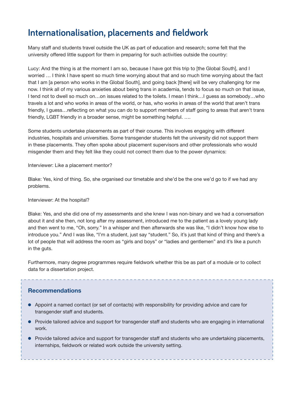# **Internationalisation, placements and fieldwork**

Many staff and students travel outside the UK as part of education and research; some felt that the university offered little support for them in preparing for such activities outside the country:

Lucy: And the thing is at the moment I am so, because I have got this trip to [the Global South], and I worried … I think I have spent so much time worrying about that and so much time worrying about the fact that I am [a person who works in the Global South], and going back [there] will be very challenging for me now. I think all of my various anxieties about being trans in academia, tends to focus so much on that issue, I tend not to dwell so much on…on issues related to the toilets. I mean I think…I guess as somebody…who travels a lot and who works in areas of the world, or has, who works in areas of the world that aren't trans friendly, I guess…reflecting on what you can do to support members of staff going to areas that aren't trans friendly, LGBT friendly in a broader sense, might be something helpful. ….

Some students undertake placements as part of their course. This involves engaging with different industries, hospitals and universities. Some transgender students felt the university did not support them in these placements. They often spoke about placement supervisors and other professionals who would misgender them and they felt like they could not correct them due to the power dynamics:

Interviewer: Like a placement mentor?

Blake: Yes, kind of thing. So, she organised our timetable and she'd be the one we'd go to if we had any problems.

#### Interviewer: At the hospital?

Blake: Yes, and she did one of my assessments and she knew I was non-binary and we had a conversation about it and she then, not long after my assessment, introduced me to the patient as a lovely young lady and then went to me, "Oh, sorry." In a whisper and then afterwards she was like, "I didn't know how else to introduce you." And I was like, "I'm a student, just say "student." So, it's just that kind of thing and there's a lot of people that will address the room as "girls and boys" or "ladies and gentlemen" and it's like a punch in the guts.

Furthermore, many degree programmes require fieldwork whether this be as part of a module or to collect data for a dissertation project.

- l Appoint a named contact (or set of contacts) with responsibility for providing advice and care for transgender staff and students.
- Provide tailored advice and support for transgender staff and students who are engaging in international work.
- Provide tailored advice and support for transgender staff and students who are undertaking placements, internships, fieldwork or related work outside the university setting.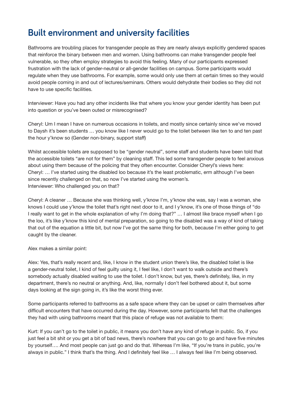# **Built environment and university facilities**

Bathrooms are troubling places for transgender people as they are nearly always explicitly gendered spaces that reinforce the binary between men and women. Using bathrooms can make transgender people feel vulnerable, so they often employ strategies to avoid this feeling. Many of our participants expressed frustration with the lack of gender-neutral or all-gender facilities on campus. Some participants would regulate when they use bathrooms. For example, some would only use them at certain times so they would avoid people coming in and out of lectures/seminars. Others would dehydrate their bodies so they did not have to use specific facilities.

Interviewer: Have you had any other incidents like that where you know your gender identity has been put into question or you've been outed or misrecognised?

Cheryl: Um I mean I have on numerous occasions in toilets, and mostly since certainly since we've moved to Daysh it's been students … you know like I never would go to the toilet between like ten to and ten past the hour y'know so (Gender non-binary, support staff)

Whilst accessible toilets are supposed to be "gender neutral", some staff and students have been told that the accessible toilets "are not for them" by cleaning staff. This led some transgender people to feel anxious about using them because of the policing that they often encounter. Consider Cheryl's views here: Cheryl: … I've started using the disabled loo because it's the least problematic, erm although I've been since recently challenged on that, so now I've started using the women's. Interviewer: Who challenged you on that?

Cheryl: A cleaner … Because she was thinking well, y'know I'm, y'know she was, say I was a woman, she knows I could use y'know the toilet that's right next door to it, and I y'know, it's one of those things of "do I really want to get in the whole explanation of why I'm doing that?" … I almost like brace myself when I go the loo, it's like y'know this kind of mental preparation, so going to the disabled was a way of kind of taking that out of the equation a little bit, but now I've got the same thing for both, because I'm either going to get caught by the cleaner.

Alex makes a similar point:

Alex: Yes, that's really recent and, like, I know in the student union there's like, the disabled toilet is like a gender-neutral toilet, I kind of feel guilty using it, I feel like, I don't want to walk outside and there's somebody actually disabled waiting to use the toilet. I don't know, but yes, there's definitely, like, in my department, there's no neutral or anything. And, like, normally I don't feel bothered about it, but some days looking at the sign going in, it's like the worst thing ever.

Some participants referred to bathrooms as a safe space where they can be upset or calm themselves after difficult encounters that have occurred during the day. However, some participants felt that the challenges they had with using bathrooms meant that this place of refuge was not available to them:

Kurt: If you can't go to the toilet in public, it means you don't have any kind of refuge in public. So, if you just feel a bit shit or you get a bit of bad news, there's nowhere that you can go to go and have five minutes by yourself…. And most people can just go and do that. Whereas I'm like, "If you're trans in public, you're always in public." I think that's the thing. And I definitely feel like ... I always feel like I'm being observed.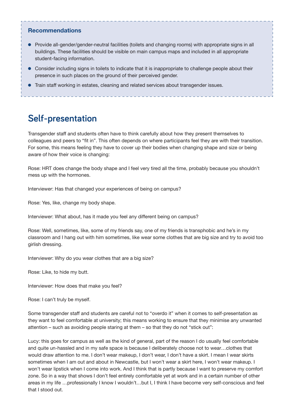### **Recommendations**

- Provide all-gender/gender-neutral facilities (toilets and changing rooms) with appropriate signs in all buildings. These facilities should be visible on main campus maps and included in all appropriate student-facing information.
- Consider including signs in toilets to indicate that it is inappropriate to challenge people about their presence in such places on the ground of their perceived gender.
- **Train staff working in estates, cleaning and related services about transgender issues.**

# **Self-presentation**

Transgender staff and students often have to think carefully about how they present themselves to colleagues and peers to "fit in". This often depends on where participants feel they are with their transition. For some, this means feeling they have to cover up their bodies when changing shape and size or being aware of how their voice is changing:

Rose: HRT does change the body shape and I feel very tired all the time, probably because you shouldn't mess up with the hormones.

Interviewer: Has that changed your experiences of being on campus?

Rose: Yes, like, change my body shape.

Interviewer: What about, has it made you feel any different being on campus?

Rose: Well, sometimes, like, some of my friends say, one of my friends is transphobic and he's in my classroom and I hang out with him sometimes, like wear some clothes that are big size and try to avoid too girlish dressing.

Interviewer: Why do you wear clothes that are a big size?

Rose: Like, to hide my butt.

Interviewer: How does that make you feel?

Rose: I can't truly be myself.

Some transgender staff and students are careful not to "overdo it" when it comes to self-presentation as they want to feel comfortable at university; this means working to ensure that they minimise any unwanted attention – such as avoiding people staring at them – so that they do not "stick out":

Lucy: this goes for campus as well as the kind of general, part of the reason I do usually feel comfortable and quite un-hassled and in my safe space is because I deliberately choose not to wear…clothes that would draw attention to me. I don't wear makeup, I don't wear, I don't have a skirt. I mean I wear skirts sometimes when I am out and about in Newcastle, but I won't wear a skirt here, I won't wear makeup. I won't wear lipstick when I come into work. And I think that is partly because I want to preserve my comfort zone. So in a way that shows I don't feel entirely comfortable yet at work and in a certain number of other areas in my life …professionally I know I wouldn't…but I, I think I have become very self-conscious and feel that I stood out.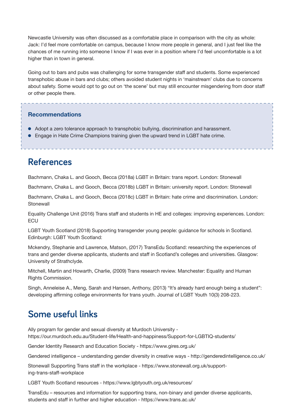Newcastle University was often discussed as a comfortable place in comparison with the city as whole: Jack: I'd feel more comfortable on campus, because I know more people in general, and I just feel like the chances of me running into someone I know if I was ever in a position where I'd feel uncomfortable is a lot higher than in town in general.

Going out to bars and pubs was challenging for some transgender staff and students. Some experienced transphobic abuse in bars and clubs; others avoided student nights in 'mainstream' clubs due to concerns about safety. Some would opt to go out on 'the scene' but may still encounter misgendering from door staff or other people there.

# **Recommendations**

- Adopt a zero tolerance approach to transphobic bullying, discrimination and harassment.
- l Engage in Hate Crime Champions training given the upward trend in LGBT hate crime.

# **References**

Bachmann, Chaka L. and Gooch, Becca (2018a) LGBT in Britain: trans report. London: Stonewall

Bachmann, Chaka L. and Gooch, Becca (2018b) LGBT in Britain: university report. London: Stonewall

Bachmann, Chaka L. and Gooch, Becca (2018c) LGBT in Britain: hate crime and discrimination. London: **Stonewall** 

Equality Challenge Unit (2016) Trans staff and students in HE and colleges: improving experiences. London: **ECU** 

LGBT Youth Scotland (2018) Supporting transgender young people: guidance for schools in Scotland. Edinburgh: LGBT Youth Scotland:

Mckendry, Stephanie and Lawrence, Matson, (2017) TransEdu Scotland: researching the experiences of trans and gender diverse applicants, students and staff in Scotland's colleges and universities. Glasgow: University of Strathclyde.

Mitchell, Martin and Howarth, Charlie, (2009) Trans research review. Manchester: Equality and Human Rights Commission.

Singh, Anneleise A., Meng, Sarah and Hansen, Anthony, (2013) "It's already hard enough being a student": developing affirming college environments for trans youth. Journal of LGBT Youth 10(3) 208-223.

# **Some useful links**

Ally program for gender and sexual diversity at Murdoch University https://our.murdoch.edu.au/Student-life/Health-and-happiness/Support-for-LGBTIQ-students/

Gender Identity Research and Education Society - https://www.gires.org.uk/

Gendered intelligence – understanding gender diversity in creative ways - http://genderedintelligence.co.uk/

Stonewall Supporting Trans staff in the workplace - https://www.stonewall.org.uk/supporting-trans-staff-workplace

LGBT Youth Scotland resources - https://www.lgbtyouth.org.uk/resources/

TransEdu – resources and information for supporting trans, non-binary and gender diverse applicants, students and staff in further and higher education - https://www.trans.ac.uk/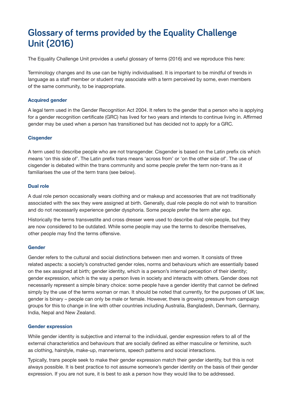# **Glossary of terms provided by the Equality Challenge Unit (2016)**

The Equality Challenge Unit provides a useful glossary of terms (2016) and we reproduce this here:

Terminology changes and its use can be highly individualised. It is important to be mindful of trends in language as a staff member or student may associate with a term perceived by some, even members of the same community, to be inappropriate.

### **Acquired gender**

A legal term used in the Gender Recognition Act 2004. It refers to the gender that a person who is applying for a gender recognition certificate (GRC) has lived for two years and intends to continue living in. Affirmed gender may be used when a person has transitioned but has decided not to apply for a GRC.

### **Cisgender**

A term used to describe people who are not transgender. Cisgender is based on the Latin prefix cis which means 'on this side of'. The Latin prefix trans means 'across from' or 'on the other side of'. The use of cisgender is debated within the trans community and some people prefer the term non-trans as it familiarises the use of the term trans (see below).

### **Dual role**

A dual role person occasionally wears clothing and or makeup and accessories that are not traditionally associated with the sex they were assigned at birth. Generally, dual role people do not wish to transition and do not necessarily experience gender dysphoria. Some people prefer the term alter ego.

Historically the terms transvestite and cross dresser were used to describe dual role people, but they are now considered to be outdated. While some people may use the terms to describe themselves, other people may find the terms offensive.

### **Gender**

Gender refers to the cultural and social distinctions between men and women. It consists of three related aspects: a society's constructed gender roles, norms and behaviours which are essentially based on the sex assigned at birth; gender identity, which is a person's internal perception of their identity; gender expression, which is the way a person lives in society and interacts with others. Gender does not necessarily represent a simple binary choice: some people have a gender identity that cannot be defined simply by the use of the terms woman or man. It should be noted that currently, for the purposes of UK law, gender is binary – people can only be male or female. However, there is growing pressure from campaign groups for this to change in line with other countries including Australia, Bangladesh, Denmark, Germany, India, Nepal and New Zealand.

### **Gender expression**

While gender identity is subjective and internal to the individual, gender expression refers to all of the external characteristics and behaviours that are socially defined as either masculine or feminine, such as clothing, hairstyle, make-up, mannerisms, speech patterns and social interactions.

Typically, trans people seek to make their gender expression match their gender identity, but this is not always possible. It is best practice to not assume someone's gender identity on the basis of their gender expression. If you are not sure, it is best to ask a person how they would like to be addressed.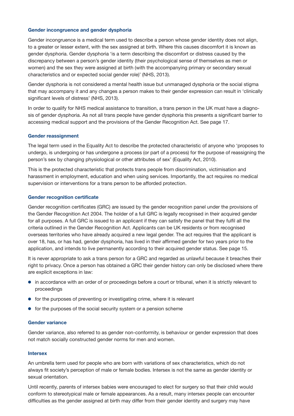#### **Gender incongruence and gender dysphoria**

Gender incongruence is a medical term used to describe a person whose gender identity does not align, to a greater or lesser extent, with the sex assigned at birth. Where this causes discomfort it is known as gender dysphoria. Gender dysphoria 'is a term describing the discomfort or distress caused by the discrepancy between a person's gender identity (their psychological sense of themselves as men or women) and the sex they were assigned at birth (with the accompanying primary or secondary sexual characteristics and or expected social gender role)' (NHS, 2013).

Gender dysphoria is not considered a mental health issue but unmanaged dysphoria or the social stigma that may accompany it and any changes a person makes to their gender expression can result in 'clinically significant levels of distress' (NHS, 2013).

In order to qualify for NHS medical assistance to transition, a trans person in the UK must have a diagnosis of gender dysphoria. As not all trans people have gender dysphoria this presents a significant barrier to accessing medical support and the provisions of the Gender Recognition Act. See page 17.

#### **Gender reassignment**

The legal term used in the Equality Act to describe the protected characteristic of anyone who 'proposes to undergo, is undergoing or has undergone a process (or part of a process) for the purpose of reassigning the person's sex by changing physiological or other attributes of sex' (Equality Act, 2010).

This is the protected characteristic that protects trans people from discrimination, victimisation and harassment in employment, education and when using services. Importantly, the act requires no medical supervision or interventions for a trans person to be afforded protection.

#### **Gender recognition certificate**

Gender recognition certificates (GRC) are issued by the gender recognition panel under the provisions of the Gender Recognition Act 2004. The holder of a full GRC is legally recognised in their acquired gender for all purposes. A full GRC is issued to an applicant if they can satisfy the panel that they fulfil all the criteria outlined in the Gender Recognition Act. Applicants can be UK residents or from recognised overseas territories who have already acquired a new legal gender. The act requires that the applicant is over 18, has, or has had, gender dysphoria, has lived in their affirmed gender for two years prior to the application, and intends to live permanently according to their acquired gender status. See page 15.

It is never appropriate to ask a trans person for a GRC and regarded as unlawful because it breaches their right to privacy. Once a person has obtained a GRC their gender history can only be disclosed where there are explicit exceptions in law:

- in accordance with an order of or proceedings before a court or tribunal, when it is strictly relevant to proceedings
- $\bullet$  for the purposes of preventing or investigating crime, where it is relevant
- $\bullet$  for the purposes of the social security system or a pension scheme

#### **Gender variance**

Gender variance, also referred to as gender non-conformity, is behaviour or gender expression that does not match socially constructed gender norms for men and women.

#### **Intersex**

An umbrella term used for people who are born with variations of sex characteristics, which do not always fit society's perception of male or female bodies. Intersex is not the same as gender identity or sexual orientation.

Until recently, parents of intersex babies were encouraged to elect for surgery so that their child would conform to stereotypical male or female appearances. As a result, many intersex people can encounter difficulties as the gender assigned at birth may differ from their gender identity and surgery may have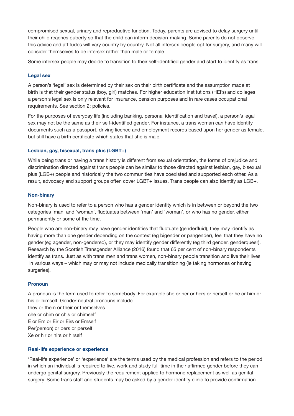compromised sexual, urinary and reproductive function. Today, parents are advised to delay surgery until their child reaches puberty so that the child can inform decision-making. Some parents do not observe this advice and attitudes will vary country by country. Not all intersex people opt for surgery, and many will consider themselves to be intersex rather than male or female.

Some intersex people may decide to transition to their self-identified gender and start to identify as trans.

### **Legal sex**

A person's 'legal' sex is determined by their sex on their birth certificate and the assumption made at birth is that their gender status (boy, girl) matches. For higher education institutions (HEI's) and colleges a person's legal sex is only relevant for insurance, pension purposes and in rare cases occupational requirements. See section 2: policies.

For the purposes of everyday life (including banking, personal identification and travel), a person's legal sex may not be the same as their self-identified gender. For instance, a trans woman can have identity documents such as a passport, driving licence and employment records based upon her gender as female, but still have a birth certificate which states that she is male.

#### **Lesbian, gay, bisexual, trans plus (LGBT+)**

While being trans or having a trans history is different from sexual orientation, the forms of prejudice and discrimination directed against trans people can be similar to those directed against lesbian, gay, bisexual plus (LGB+) people and historically the two communities have coexisted and supported each other. As a result, advocacy and support groups often cover LGBT+ issues. Trans people can also identify as LGB+.

#### **Non-binary**

Non-binary is used to refer to a person who has a gender identity which is in between or beyond the two categories 'man' and 'woman', fluctuates between 'man' and 'woman', or who has no gender, either permanently or some of the time.

People who are non-binary may have gender identities that fluctuate (genderfluid), they may identify as having more than one gender depending on the context (eg bigender or pangender), feel that they have no gender (eg agender, non-gendered), or they may identify gender differently (eg third gender, genderqueer). Research by the Scottish Transgender Alliance (2016) found that 65 per cent of non-binary respondents identify as trans. Just as with trans men and trans women, non-binary people transition and live their lives in various ways – which may or may not include medically transitioning (ie taking hormones or having surgeries).

#### **Pronoun**

A pronoun is the term used to refer to somebody. For example she or her or hers or herself or he or him or his or himself. Gender-neutral pronouns include they or them or their or themselves che or chim or chis or chimself E or Em or Eir or Eirs or Emself Per(person) or pers or perself Xe or hir or hirs or hirself

#### **Real-life experience or experience**

'Real-life experience' or 'experience' are the terms used by the medical profession and refers to the period in which an individual is required to live, work and study full-time in their affirmed gender before they can undergo genital surgery. Previously the requirement applied to hormone replacement as well as genital surgery. Some trans staff and students may be asked by a gender identity clinic to provide confirmation